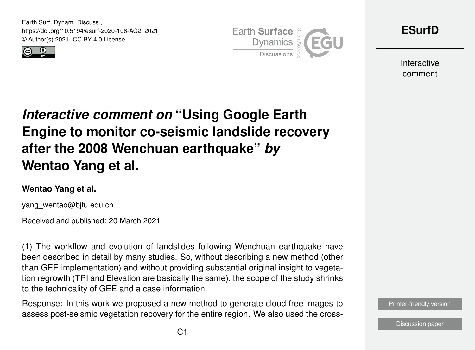Earth Surf. Dynam. Discuss., https://doi.org/10.5194/esurf-2020-106-AC2, 2021 © Author(s) 2021. CC BY 4.0 License.





**[ESurfD](https://esurf.copernicus.org/preprints/)**

Interactive comment

## *Interactive comment on* **"Using Google Earth Engine to monitor co-seismic landslide recovery after the 2008 Wenchuan earthquake"** *by* **Wentao Yang et al.**

## **Wentao Yang et al.**

yang\_wentao@bjfu.edu.cn

Received and published: 20 March 2021

(1) The workflow and evolution of landslides following Wenchuan earthquake have been described in detail by many studies. So, without describing a new method (other than GEE implementation) and without providing substantial original insight to vegetation regrowth (TPI and Elevation are basically the same), the scope of the study shrinks to the technicality of GEE and a case information.

Response: In this work we proposed a new method to generate cloud free images to assess post-seismic vegetation recovery for the entire region. We also used the cross-

[Printer-friendly version](https://esurf.copernicus.org/preprints/esurf-2020-106/esurf-2020-106-AC2-print.pdf)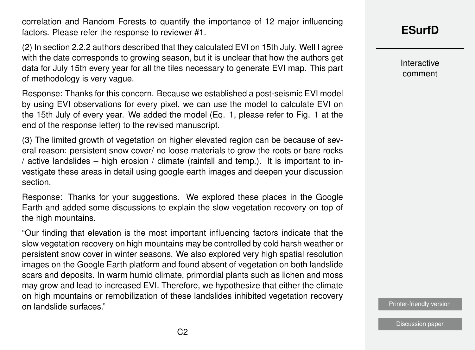correlation and Random Forests to quantify the importance of 12 major influencing factors. Please refer the response to reviewer #1.

(2) In section 2.2.2 authors described that they calculated EVI on 15th July. Well I agree with the date corresponds to growing season, but it is unclear that how the authors get data for July 15th every year for all the tiles necessary to generate EVI map. This part of methodology is very vague.

Response: Thanks for this concern. Because we established a post-seismic EVI model by using EVI observations for every pixel, we can use the model to calculate EVI on the 15th July of every year. We added the model (Eq. 1, please refer to Fig. 1 at the end of the response letter) to the revised manuscript.

(3) The limited growth of vegetation on higher elevated region can be because of several reason: persistent snow cover/ no loose materials to grow the roots or bare rocks / active landslides – high erosion / climate (rainfall and temp.). It is important to investigate these areas in detail using google earth images and deepen your discussion section.

Response: Thanks for your suggestions. We explored these places in the Google Earth and added some discussions to explain the slow vegetation recovery on top of the high mountains.

"Our finding that elevation is the most important influencing factors indicate that the slow vegetation recovery on high mountains may be controlled by cold harsh weather or persistent snow cover in winter seasons. We also explored very high spatial resolution images on the Google Earth platform and found absent of vegetation on both landslide scars and deposits. In warm humid climate, primordial plants such as lichen and moss may grow and lead to increased EVI. Therefore, we hypothesize that either the climate on high mountains or remobilization of these landslides inhibited vegetation recovery on landslide surfaces."

**[ESurfD](https://esurf.copernicus.org/preprints/)**

Interactive comment

[Printer-friendly version](https://esurf.copernicus.org/preprints/esurf-2020-106/esurf-2020-106-AC2-print.pdf)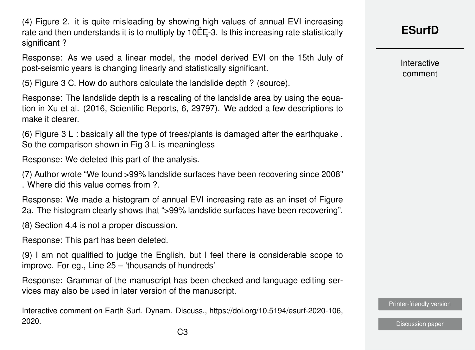(4) Figure 2. it is quite misleading by showing high values of annual EVI increasing rate and then understands it is to multiply by  $10EE-3$ . Is this increasing rate statistically significant ?

Response: As we used a linear model, the model derived EVI on the 15th July of post-seismic years is changing linearly and statistically significant.

(5) Figure 3 C. How do authors calculate the landslide depth ? (source).

Response: The landslide depth is a rescaling of the landslide area by using the equation in Xu et al. (2016, Scientific Reports, 6, 29797). We added a few descriptions to make it clearer.

(6) Figure 3 L : basically all the type of trees/plants is damaged after the earthquake. So the comparison shown in Fig 3 L is meaningless

Response: We deleted this part of the analysis.

(7) Author wrote "We found >99% landslide surfaces have been recovering since 2008" . Where did this value comes from ?.

Response: We made a histogram of annual EVI increasing rate as an inset of Figure 2a. The histogram clearly shows that ">99% landslide surfaces have been recovering".

(8) Section 4.4 is not a proper discussion.

Response: This part has been deleted.

(9) I am not qualified to judge the English, but I feel there is considerable scope to improve. For eg., Line 25 – 'thousands of hundreds'

Response: Grammar of the manuscript has been checked and language editing services may also be used in later version of the manuscript.

Interactive comment

[Printer-friendly version](https://esurf.copernicus.org/preprints/esurf-2020-106/esurf-2020-106-AC2-print.pdf)

Interactive comment on Earth Surf. Dynam. Discuss., https://doi.org/10.5194/esurf-2020-106, 2020.